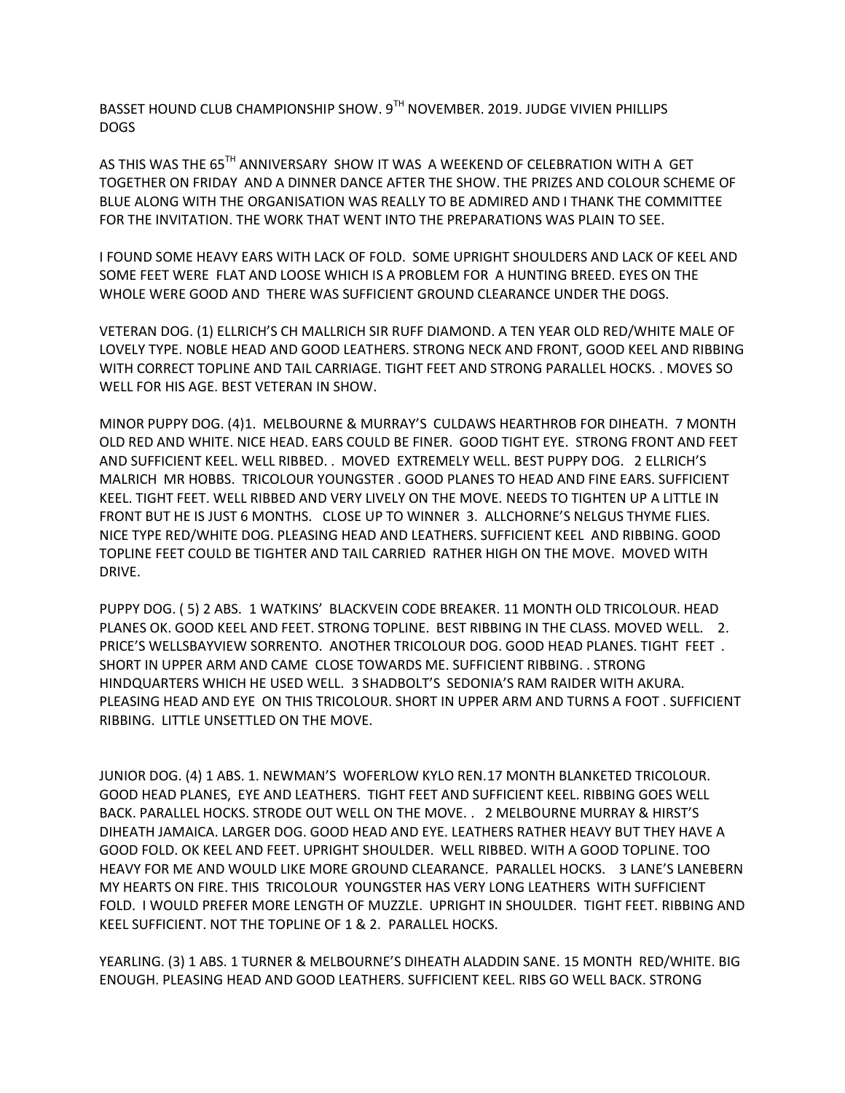BASSET HOUND CLUB CHAMPIONSHIP SHOW. 9TH NOVEMBER, 2019. JUDGE VIVIEN PHILLIPS DOGS

AS THIS WAS THE 65<sup>TH</sup> ANNIVERSARY SHOW IT WAS A WEEKEND OF CELEBRATION WITH A GET TOGETHER ON FRIDAY AND A DINNER DANCE AFTER THE SHOW. THE PRIZES AND COLOUR SCHEME OF BLUE ALONG WITH THE ORGANISATION WAS REALLY TO BE ADMIRED AND I THANK THE COMMITTEE FOR THE INVITATION. THE WORK THAT WENT INTO THE PREPARATIONS WAS PLAIN TO SEE.

I FOUND SOME HEAVY EARS WITH LACK OF FOLD. SOME UPRIGHT SHOULDERS AND LACK OF KEEL AND SOME FEET WERE FLAT AND LOOSE WHICH IS A PROBLEM FOR A HUNTING BREED. EYES ON THE WHOLE WERE GOOD AND THERE WAS SUFFICIENT GROUND CLEARANCE UNDER THE DOGS.

VETERAN DOG. (1) ELLRICH'S CH MALLRICH SIR RUFF DIAMOND. A TEN YEAR OLD RED/WHITE MALE OF LOVELY TYPE. NOBLE HEAD AND GOOD LEATHERS. STRONG NECK AND FRONT, GOOD KEEL AND RIBBING WITH CORRECT TOPLINE AND TAIL CARRIAGE. TIGHT FEET AND STRONG PARALLEL HOCKS. . MOVES SO WELL FOR HIS AGE. BEST VETERAN IN SHOW.

MINOR PUPPY DOG. (4)1. MELBOURNE & MURRAY'S CULDAWS HEARTHROB FOR DIHEATH. 7 MONTH OLD RED AND WHITE. NICE HEAD. EARS COULD BE FINER. GOOD TIGHT EYE. STRONG FRONT AND FEET AND SUFFICIENT KEEL. WELL RIBBED. . MOVED EXTREMELY WELL. BEST PUPPY DOG. 2 ELLRICH'S MALRICH MR HOBBS. TRICOLOUR YOUNGSTER . GOOD PLANES TO HEAD AND FINE EARS. SUFFICIENT KEEL. TIGHT FEET. WELL RIBBED AND VERY LIVELY ON THE MOVE. NEEDS TO TIGHTEN UP A LITTLE IN FRONT BUT HE IS JUST 6 MONTHS. CLOSE UP TO WINNER 3. ALLCHORNE'S NELGUS THYME FLIES. NICE TYPE RED/WHITE DOG. PLEASING HEAD AND LEATHERS. SUFFICIENT KEEL AND RIBBING. GOOD TOPLINE FEET COULD BE TIGHTER AND TAIL CARRIED RATHER HIGH ON THE MOVE. MOVED WITH DRIVE.

PUPPY DOG. ( 5) 2 ABS. 1 WATKINS' BLACKVEIN CODE BREAKER. 11 MONTH OLD TRICOLOUR. HEAD PLANES OK. GOOD KEEL AND FEET. STRONG TOPLINE. BEST RIBBING IN THE CLASS. MOVED WELL. 2. PRICE'S WELLSBAYVIEW SORRENTO. ANOTHER TRICOLOUR DOG. GOOD HEAD PLANES. TIGHT FEET . SHORT IN UPPER ARM AND CAME CLOSE TOWARDS ME. SUFFICIENT RIBBING. . STRONG HINDQUARTERS WHICH HE USED WELL. 3 SHADBOLT'S SEDONIA'S RAM RAIDER WITH AKURA. PLEASING HEAD AND EYE ON THIS TRICOLOUR. SHORT IN UPPER ARM AND TURNS A FOOT . SUFFICIENT RIBBING. LITTLE UNSETTLED ON THE MOVE.

JUNIOR DOG. (4) 1 ABS. 1. NEWMAN'S WOFERLOW KYLO REN.17 MONTH BLANKETED TRICOLOUR. GOOD HEAD PLANES, EYE AND LEATHERS. TIGHT FEET AND SUFFICIENT KEEL. RIBBING GOES WELL BACK. PARALLEL HOCKS. STRODE OUT WELL ON THE MOVE. . 2 MELBOURNE MURRAY & HIRST'S DIHEATH JAMAICA. LARGER DOG. GOOD HEAD AND EYE. LEATHERS RATHER HEAVY BUT THEY HAVE A GOOD FOLD. OK KEEL AND FEET. UPRIGHT SHOULDER. WELL RIBBED. WITH A GOOD TOPLINE. TOO HEAVY FOR ME AND WOULD LIKE MORE GROUND CLEARANCE. PARALLEL HOCKS. 3 LANE'S LANEBERN MY HEARTS ON FIRE. THIS TRICOLOUR YOUNGSTER HAS VERY LONG LEATHERS WITH SUFFICIENT FOLD. I WOULD PREFER MORE LENGTH OF MUZZLE. UPRIGHT IN SHOULDER. TIGHT FEET. RIBBING AND KEEL SUFFICIENT. NOT THE TOPLINE OF 1 & 2. PARALLEL HOCKS.

YEARLING. (3) 1 ABS. 1 TURNER & MELBOURNE'S DIHEATH ALADDIN SANE. 15 MONTH RED/WHITE. BIG ENOUGH. PLEASING HEAD AND GOOD LEATHERS. SUFFICIENT KEEL. RIBS GO WELL BACK. STRONG